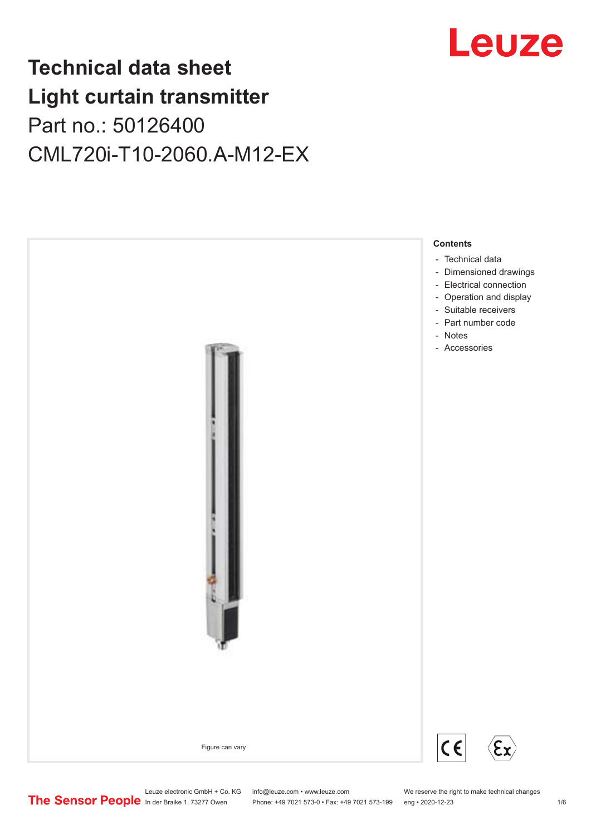# Leuze

# **Technical data sheet Light curtain transmitter** Part no.: 50126400 CML720i-T10-2060.A-M12-EX



Leuze electronic GmbH + Co. KG info@leuze.com • www.leuze.com We reserve the right to make technical changes<br>
The Sensor People in der Braike 1, 73277 Owen Phone: +49 7021 573-0 • Fax: +49 7021 573-199 eng • 2020-12-23

Phone: +49 7021 573-0 • Fax: +49 7021 573-199 eng • 2020-12-23 1 76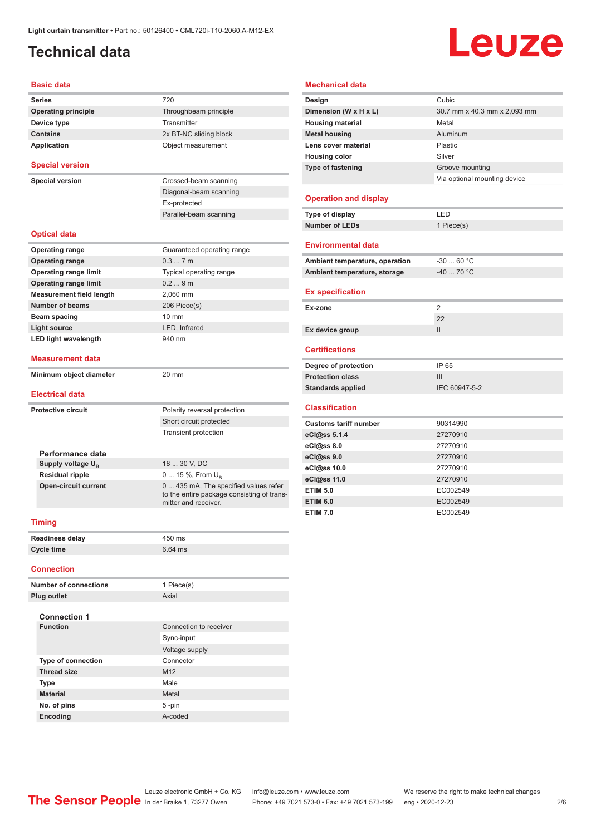### <span id="page-1-0"></span>**Technical data**

# Leuze

#### **Basic data**

| Series                                                | 720                                                                                       |  |  |
|-------------------------------------------------------|-------------------------------------------------------------------------------------------|--|--|
| <b>Operating principle</b>                            | Throughbeam principle                                                                     |  |  |
| Device type                                           | Transmitter                                                                               |  |  |
| <b>Contains</b>                                       | 2x BT-NC sliding block                                                                    |  |  |
| Application                                           | Object measurement                                                                        |  |  |
| <b>Special version</b>                                |                                                                                           |  |  |
| <b>Special version</b>                                | Crossed-beam scanning                                                                     |  |  |
|                                                       | Diagonal-beam scanning                                                                    |  |  |
|                                                       | Ex-protected                                                                              |  |  |
|                                                       | Parallel-beam scanning                                                                    |  |  |
| <b>Optical data</b>                                   |                                                                                           |  |  |
|                                                       |                                                                                           |  |  |
| <b>Operating range</b><br><b>Operating range</b>      | Guaranteed operating range<br>0.37m                                                       |  |  |
| <b>Operating range limit</b>                          | Typical operating range                                                                   |  |  |
| <b>Operating range limit</b>                          | 0.29m                                                                                     |  |  |
| <b>Measurement field length</b>                       | 2.060 mm                                                                                  |  |  |
| <b>Number of beams</b>                                | 206 Piece(s)                                                                              |  |  |
| Beam spacing                                          | 10 mm                                                                                     |  |  |
| <b>Light source</b>                                   | LED, Infrared                                                                             |  |  |
| <b>LED light wavelength</b>                           | 940 nm                                                                                    |  |  |
| Measurement data                                      |                                                                                           |  |  |
|                                                       | 20 mm                                                                                     |  |  |
|                                                       |                                                                                           |  |  |
| Minimum object diameter<br>Electrical data            |                                                                                           |  |  |
|                                                       |                                                                                           |  |  |
|                                                       | Polarity reversal protection<br>Short circuit protected                                   |  |  |
| <b>Protective circuit</b>                             | <b>Transient protection</b>                                                               |  |  |
|                                                       |                                                                                           |  |  |
| Performance data                                      |                                                                                           |  |  |
| Supply voltage $U_{\rm B}$                            | 18  30 V, DC                                                                              |  |  |
| <b>Residual ripple</b><br><b>Open-circuit current</b> | 0  15 %, From $U_{\rm B}$<br>0 435 mA, The specified values refer<br>mitter and receiver. |  |  |
| <b>Timing</b>                                         |                                                                                           |  |  |
|                                                       |                                                                                           |  |  |
| <b>Readiness delay</b>                                | to the entire package consisting of trans-<br>450 ms                                      |  |  |
| Cycle time<br><b>Connection</b>                       | 6.64 ms                                                                                   |  |  |
| <b>Number of connections</b>                          |                                                                                           |  |  |
|                                                       | 1 Piece(s)                                                                                |  |  |
| Plug outlet                                           | Axial                                                                                     |  |  |

| <b>Connection 1</b>       |                        |  |  |  |
|---------------------------|------------------------|--|--|--|
| <b>Function</b>           | Connection to receiver |  |  |  |
|                           | Sync-input             |  |  |  |
|                           | Voltage supply         |  |  |  |
| <b>Type of connection</b> | Connector              |  |  |  |
| <b>Thread size</b>        | M <sub>12</sub>        |  |  |  |
| <b>Type</b>               | Male                   |  |  |  |
| <b>Material</b>           | Metal                  |  |  |  |
| No. of pins               | $5 - pin$              |  |  |  |
| Encoding                  | A-coded                |  |  |  |

#### **Mechanical data**

| Design                         | Cubic                        |
|--------------------------------|------------------------------|
| Dimension (W x H x L)          | 30.7 mm x 40.3 mm x 2,093 mm |
| <b>Housing material</b>        | Metal                        |
| <b>Metal housing</b>           | Aluminum                     |
| Lens cover material            | Plastic                      |
| <b>Housing color</b>           | Silver                       |
| <b>Type of fastening</b>       | Groove mounting              |
|                                | Via optional mounting device |
|                                |                              |
| <b>Operation and display</b>   |                              |
| Type of display                | LED                          |
| <b>Number of LEDs</b>          | 1 Piece(s)                   |
|                                |                              |
| <b>Environmental data</b>      |                              |
| Ambient temperature, operation | $-3060 °C$                   |
| Ambient temperature, storage   | $-40$ 70 °C                  |
|                                |                              |
| <b>Ex specification</b>        |                              |
| Ex-zone                        | 2                            |
|                                | 22                           |
|                                |                              |
| Ex device group                | $\mathbf{II}$                |
|                                |                              |
| <b>Certifications</b>          |                              |
| Degree of protection           | IP 65                        |
| <b>Protection class</b>        | III                          |
| <b>Standards applied</b>       | IEC 60947-5-2                |
|                                |                              |
| <b>Classification</b>          |                              |
| <b>Customs tariff number</b>   | 90314990                     |
| eCl@ss 5.1.4                   | 27270910                     |
| eCl@ss 8.0                     | 27270910                     |
| eCl@ss 9.0                     | 27270910                     |
| eCl@ss 10.0                    | 27270910                     |
| eCl@ss 11.0                    | 27270910                     |
| <b>ETIM 5.0</b>                | EC002549                     |
| <b>ETIM 6.0</b>                | EC002549                     |

Leuze electronic GmbH + Co. KG info@leuze.com • www.leuze.com We reserve the right to make technical changes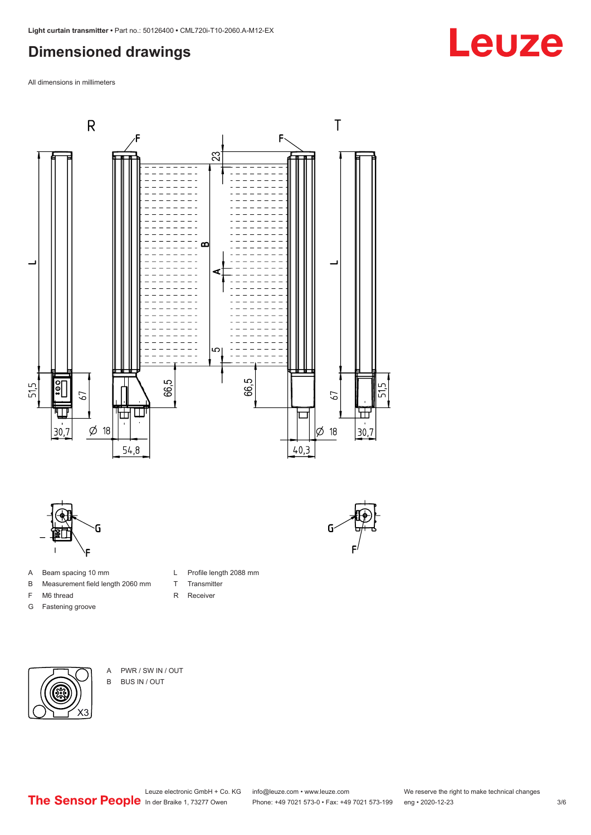### <span id="page-2-0"></span>**Dimensioned drawings**

All dimensions in millimeters



L Profile length 2088 mm

T Transmitter R Receiver



- A Beam spacing 10 mm
- B Measurement field length 2060 mm
- F M6 thread
- G Fastening groove

- X3
- A PWR / SW IN / OUT B BUS IN / OUT

Leuze electronic GmbH + Co. KG info@leuze.com • www.leuze.com We reserve the right to make technical changes<br>
The Sensor People in der Braike 1, 73277 Owen Phone: +49 7021 573-0 • Fax: +49 7021 573-199 eng • 2020-12-23

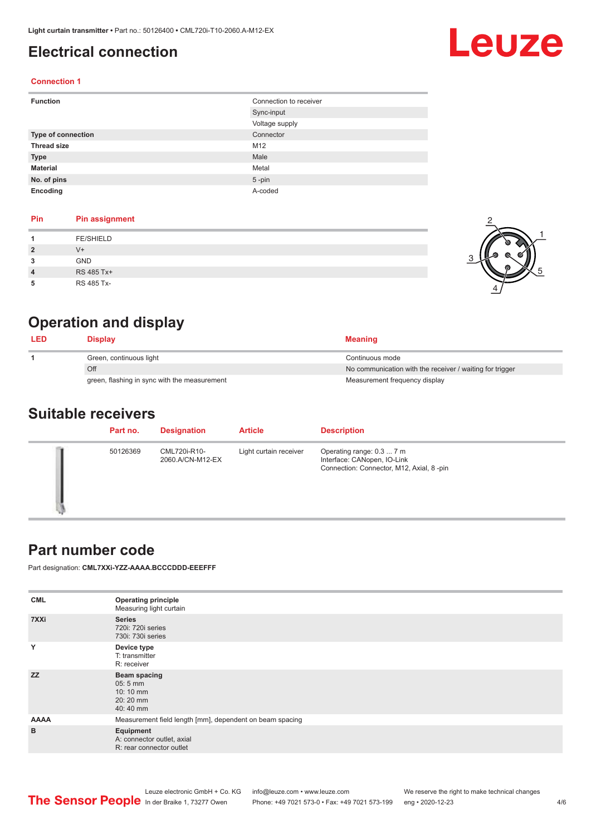### <span id="page-3-0"></span>**Electrical connection**

# Leuze

#### **Connection 1**

| <b>Function</b>           | Connection to receiver |  |
|---------------------------|------------------------|--|
|                           | Sync-input             |  |
|                           | Voltage supply         |  |
| <b>Type of connection</b> | Connector              |  |
| <b>Thread size</b>        | M12                    |  |
| <b>Type</b>               | Male                   |  |
| <b>Material</b>           | Metal                  |  |
| No. of pins               | $5$ -pin               |  |
| Encoding                  | A-coded                |  |

#### **Pin Pin assignment**

|                | <b>FE/SHIELD</b> |  |
|----------------|------------------|--|
| $\overline{2}$ | V+               |  |
| 3              | <b>GND</b>       |  |
| $\overline{4}$ | RS 485 Tx+       |  |
|                | RS 485 Tx-       |  |



2

### **Operation and display**

| <b>LED</b> | Display                                      | <b>Meaning</b>                                           |
|------------|----------------------------------------------|----------------------------------------------------------|
|            | Green, continuous light                      | Continuous mode                                          |
|            | Off                                          | No communication with the receiver / waiting for trigger |
|            | green, flashing in sync with the measurement | Measurement frequency display                            |

#### **Suitable receivers**

| Part no. | <b>Designation</b>               | <b>Article</b>         | <b>Description</b>                                                                                   |
|----------|----------------------------------|------------------------|------------------------------------------------------------------------------------------------------|
| 50126369 | CML720i-R10-<br>2060.A/CN-M12-EX | Light curtain receiver | Operating range: 0.3  7 m<br>Interface: CANopen, IO-Link<br>Connection: Connector, M12, Axial, 8-pin |

#### **Part number code**

Part designation: **CML7XXi-YZZ-AAAA.BCCCDDD-EEEFFF**

| <b>Operating principle</b><br>Measuring light curtain               |
|---------------------------------------------------------------------|
| <b>Series</b><br>720i: 720i series<br>730i: 730i series             |
| Device type<br>T: transmitter<br>R: receiver                        |
| Beam spacing<br>$05:5$ mm<br>10:10 mm<br>20:20 mm<br>40:40 mm       |
| Measurement field length [mm], dependent on beam spacing            |
| Equipment<br>A: connector outlet, axial<br>R: rear connector outlet |
|                                                                     |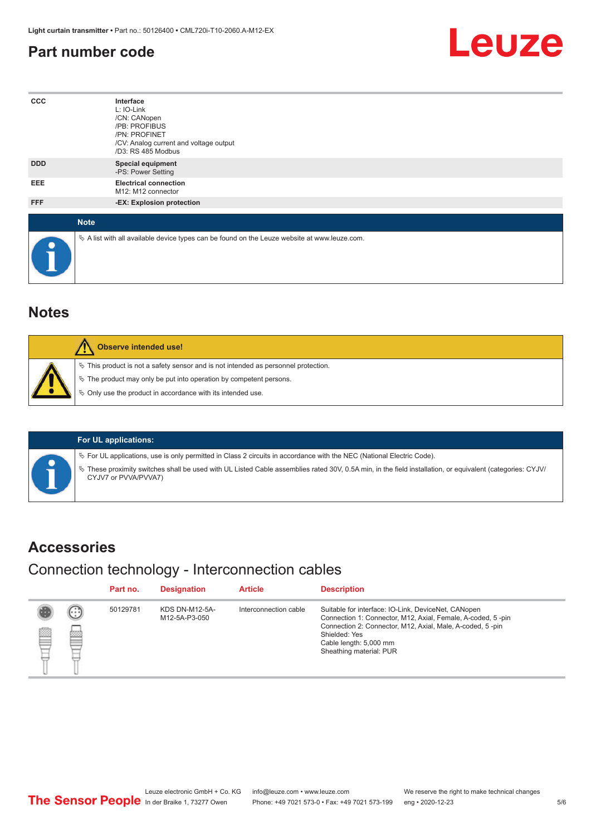#### <span id="page-4-0"></span>**Part number code**



| $_{\rm ccc}$ | Interface<br>L: IO-Link<br>/CN: CANopen<br>/PB: PROFIBUS<br>/PN: PROFINET<br>/CV: Analog current and voltage output<br>/D3: RS 485 Modbus |
|--------------|-------------------------------------------------------------------------------------------------------------------------------------------|
| <b>DDD</b>   | <b>Special equipment</b><br>-PS: Power Setting                                                                                            |
| EEE          | <b>Electrical connection</b><br>M12: M12 connector                                                                                        |
| FFF          | -EX: Explosion protection                                                                                                                 |
| <b>Note</b>  |                                                                                                                                           |
| $\bullet$    | $\&$ A list with all available device types can be found on the Leuze website at www.leuze.com.                                           |

#### **Notes**

| Observe intended use!                                                                                                                                                                                                            |
|----------------------------------------------------------------------------------------------------------------------------------------------------------------------------------------------------------------------------------|
| $\%$ This product is not a safety sensor and is not intended as personnel protection.<br>$\&$ The product may only be put into operation by competent persons.<br>$\%$ Only use the product in accordance with its intended use. |

| <b>For UL applications:</b> |  |
|-----------------------------|--|
|-----------------------------|--|

ª For UL applications, use is only permitted in Class 2 circuits in accordance with the NEC (National Electric Code).

ª These proximity switches shall be used with UL Listed Cable assemblies rated 30V, 0.5A min, in the field installation, or equivalent (categories: CYJV/ CYJV7 or PVVA/PVVA7)

#### **Accessories**

Connection technology - Interconnection cables

|   |             | Part no. | <b>Designation</b>                     | <b>Article</b>        | <b>Description</b>                                                                                                                                                                                                                                    |
|---|-------------|----------|----------------------------------------|-----------------------|-------------------------------------------------------------------------------------------------------------------------------------------------------------------------------------------------------------------------------------------------------|
| § | ⊕<br>m<br>經 | 50129781 | <b>KDS DN-M12-5A-</b><br>M12-5A-P3-050 | Interconnection cable | Suitable for interface: IO-Link, DeviceNet, CANopen<br>Connection 1: Connector, M12, Axial, Female, A-coded, 5-pin<br>Connection 2: Connector, M12, Axial, Male, A-coded, 5-pin<br>Shielded: Yes<br>Cable length: 5,000 mm<br>Sheathing material: PUR |